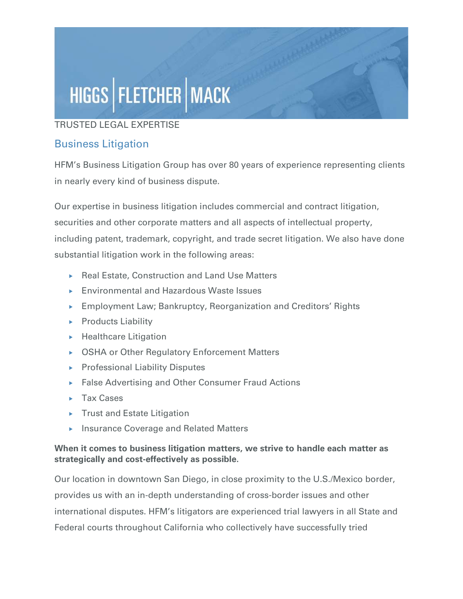# HIGGS | FLETCHER | MACK

### TRUSTED LEGAL EXPERTISE

## Business Litigation

HFM's Business Litigation Group has over 80 years of experience representing clients in nearly every kind of business dispute.

Our expertise in business litigation includes commercial and contract litigation, securities and other corporate matters and all aspects of intellectual property, including patent, trademark, copyright, and trade secret litigation. We also have done substantial litigation work in the following areas:

- ▶ Real Estate, Construction and Land Use Matters
- Environmental and Hazardous Waste Issues
- Employment Law; Bankruptcy, Reorganization and Creditors' Rights
- $\blacktriangleright$  Products Liability
- $\blacktriangleright$  Healthcare Litigation
- ▶ OSHA or Other Regulatory Enforcement Matters
- **Professional Liability Disputes**
- ▶ False Advertising and Other Consumer Fraud Actions
- $\blacktriangleright$  Tax Cases
- $\triangleright$  Trust and Estate Litigation
- **Insurance Coverage and Related Matters**

#### When it comes to business litigation matters, we strive to handle each matter as strategically and cost-effectively as possible.

Our location in downtown San Diego, in close proximity to the U.S./Mexico border, provides us with an in-depth understanding of cross-border issues and other international disputes. HFM's litigators are experienced trial lawyers in all State and Federal courts throughout California who collectively have successfully tried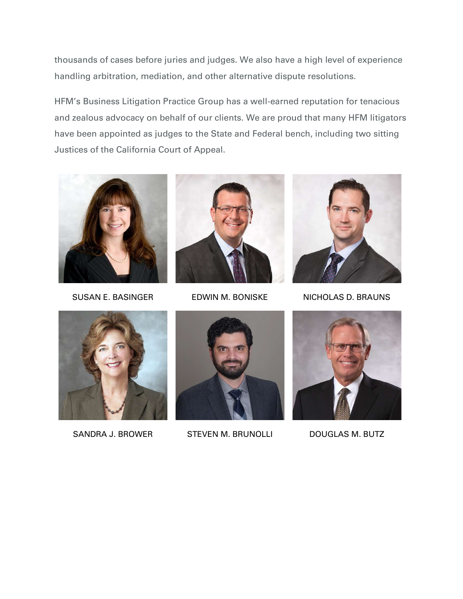thousands of cases before juries and judges. We also have a high level of experience handling arbitration, mediation, and other alternative dispute resolutions.

HFM's Business Litigation Practice Group has a well-earned reputation for tenacious and zealous advocacy on behalf of our clients. We are proud that many HFM litigators have been appointed as judges to the State and Federal bench, including two sitting Justices of the California Court of Appeal.







SUSAN E. BASINGER EDWIN M. BONISKE NICHOLAS D. BRAUNS





SANDRA J. BROWER STEVEN M. BRUNOLLI DOUGLAS M. BUTZ

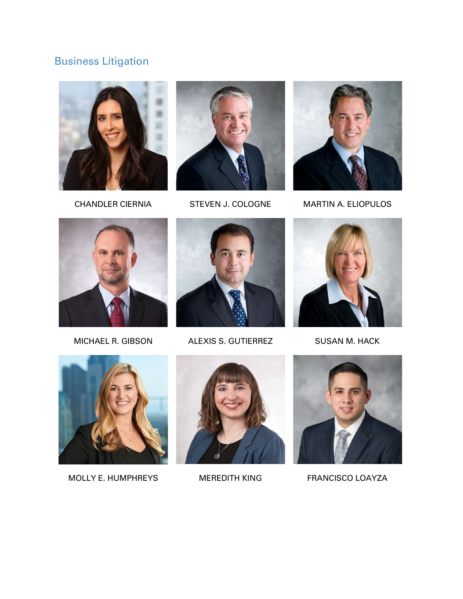# Business Litigation







CHANDLER CIERNIA STEVEN J. COLOGNE MARTIN A. ELIOPULOS





MICHAEL R. GIBSON ALEXIS S. GUTIERREZ SUSAN M. HACK





MOLLY E. HUMPHREYS MEREDITH KING FRANCISCO LOAYZA



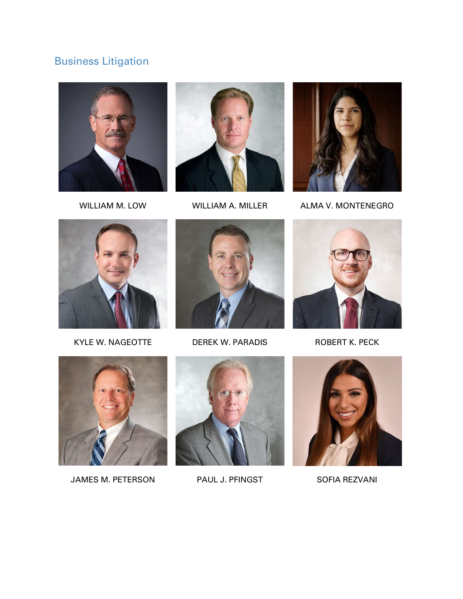# Business Litigation







WILLIAM M. LOW WILLIAM A. MILLER ALMA V. MONTENEGRO





KYLE W. NAGEOTTE DEREK W. PARADIS ROBERT K. PECK





JAMES M. PETERSON PAUL J. PFINGST SOFIA REZVANI